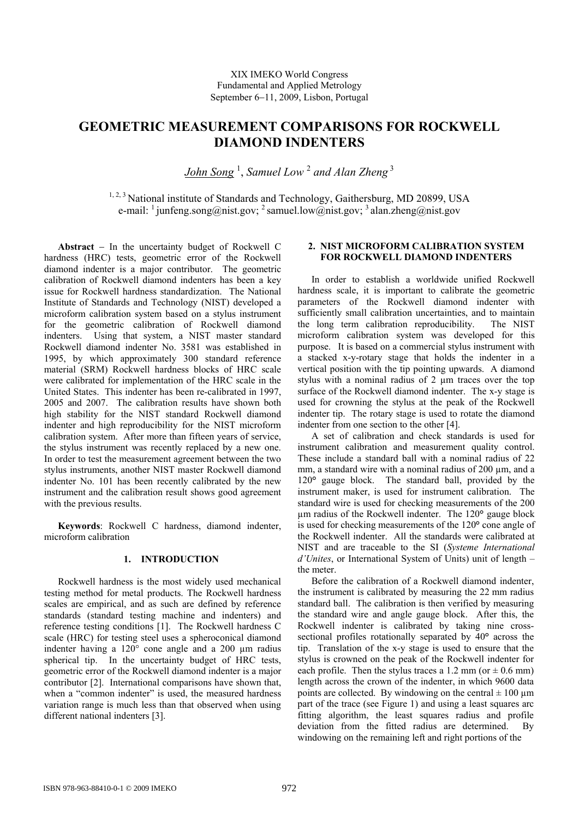# **GEOMETRIC MEASUREMENT COMPARISONS FOR ROCKWELL DIAMOND INDENTERS**

*John Song* <sup>1</sup> , *Samuel Low* <sup>2</sup> *and Alan Zheng*<sup>3</sup>

<sup>1, 2, 3</sup> National institute of Standards and Technology, Gaithersburg, MD 20899, USA e-mail:  $\frac{1}{2}$  junfeng.song@nist.gov;  $\frac{2}{3}$  samuel.low@nist.gov;  $\frac{3}{3}$  alan.zheng@nist.gov

**Abstract** − In the uncertainty budget of Rockwell C hardness (HRC) tests, geometric error of the Rockwell diamond indenter is a major contributor. The geometric calibration of Rockwell diamond indenters has been a key issue for Rockwell hardness standardization. The National Institute of Standards and Technology (NIST) developed a microform calibration system based on a stylus instrument for the geometric calibration of Rockwell diamond indenters. Using that system, a NIST master standard Rockwell diamond indenter No. 3581 was established in 1995, by which approximately 300 standard reference material (SRM) Rockwell hardness blocks of HRC scale were calibrated for implementation of the HRC scale in the United States. This indenter has been re-calibrated in 1997, 2005 and 2007. The calibration results have shown both high stability for the NIST standard Rockwell diamond indenter and high reproducibility for the NIST microform calibration system. After more than fifteen years of service, the stylus instrument was recently replaced by a new one. In order to test the measurement agreement between the two stylus instruments, another NIST master Rockwell diamond indenter No. 101 has been recently calibrated by the new instrument and the calibration result shows good agreement with the previous results.

**Keywords**: Rockwell C hardness, diamond indenter, microform calibration

# **1. INTRODUCTION**

Rockwell hardness is the most widely used mechanical testing method for metal products. The Rockwell hardness scales are empirical, and as such are defined by reference standards (standard testing machine and indenters) and reference testing conditions [1]. The Rockwell hardness C scale (HRC) for testing steel uses a spheroconical diamond indenter having a  $120^{\circ}$  cone angle and a 200  $\mu$ m radius spherical tip. In the uncertainty budget of HRC tests, geometric error of the Rockwell diamond indenter is a major contributor [2]. International comparisons have shown that, when a "common indenter" is used, the measured hardness variation range is much less than that observed when using different national indenters [3].

## **2. NIST MICROFORM CALIBRATION SYSTEM FOR ROCKWELL DIAMOND INDENTERS**

In order to establish a worldwide unified Rockwell hardness scale, it is important to calibrate the geometric parameters of the Rockwell diamond indenter with sufficiently small calibration uncertainties, and to maintain the long term calibration reproducibility. The NIST microform calibration system was developed for this purpose. It is based on a commercial stylus instrument with a stacked x-y-rotary stage that holds the indenter in a vertical position with the tip pointing upwards. A diamond stylus with a nominal radius of 2 µm traces over the top surface of the Rockwell diamond indenter. The x-y stage is used for crowning the stylus at the peak of the Rockwell indenter tip. The rotary stage is used to rotate the diamond indenter from one section to the other [4].

A set of calibration and check standards is used for instrument calibration and measurement quality control. These include a standard ball with a nominal radius of 22 mm, a standard wire with a nominal radius of 200 µm, and a 120**°** gauge block. The standard ball, provided by the instrument maker, is used for instrument calibration. The standard wire is used for checking measurements of the 200 µm radius of the Rockwell indenter. The 120**°** gauge block is used for checking measurements of the 120**°** cone angle of the Rockwell indenter. All the standards were calibrated at NIST and are traceable to the SI (*Systeme International d'Unites*, or International System of Units) unit of length – the meter.

Before the calibration of a Rockwell diamond indenter, the instrument is calibrated by measuring the 22 mm radius standard ball. The calibration is then verified by measuring the standard wire and angle gauge block. After this, the Rockwell indenter is calibrated by taking nine crosssectional profiles rotationally separated by 40**°** across the tip. Translation of the x-y stage is used to ensure that the stylus is crowned on the peak of the Rockwell indenter for each profile. Then the stylus traces a 1.2 mm (or  $\pm$  0.6 mm) length across the crown of the indenter, in which 9600 data points are collected. By windowing on the central  $\pm 100 \mu m$ part of the trace (see Figure 1) and using a least squares arc fitting algorithm, the least squares radius and profile deviation from the fitted radius are determined. By windowing on the remaining left and right portions of the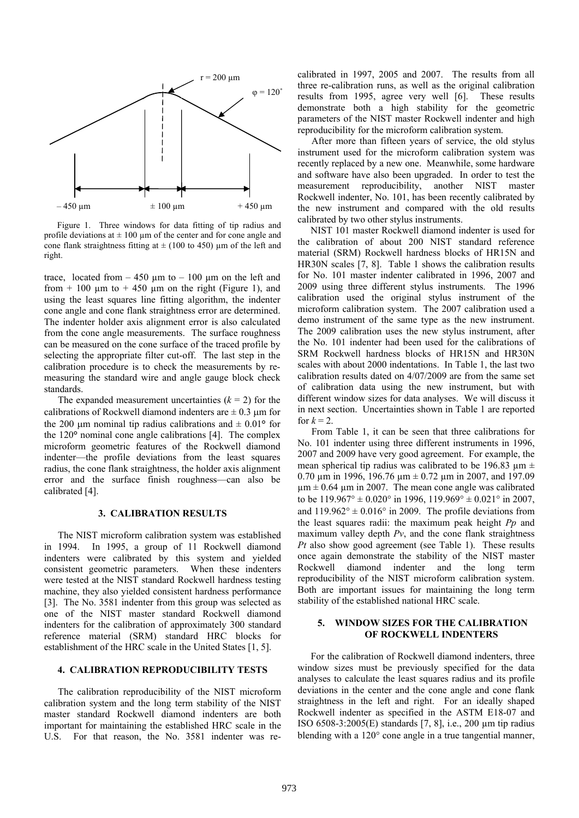

Figure 1. Three windows for data fitting of tip radius and profile deviations at  $\pm 100 \mu$ m of the center and for cone angle and cone flank straightness fitting at  $\pm$  (100 to 450) µm of the left and right.

trace, located from  $-450 \mu m$  to  $-100 \mu m$  on the left and from  $+100 \mu m$  to  $+450 \mu m$  on the right (Figure 1), and using the least squares line fitting algorithm, the indenter cone angle and cone flank straightness error are determined. The indenter holder axis alignment error is also calculated from the cone angle measurements. The surface roughness can be measured on the cone surface of the traced profile by selecting the appropriate filter cut-off. The last step in the calibration procedure is to check the measurements by remeasuring the standard wire and angle gauge block check standards.

The expanded measurement uncertainties  $(k = 2)$  for the calibrations of Rockwell diamond indenters are  $\pm$  0.3 µm for the 200  $\mu$ m nominal tip radius calibrations and  $\pm$  0.01° for the 120**°** nominal cone angle calibrations [4]. The complex microform geometric features of the Rockwell diamond indenter—the profile deviations from the least squares radius, the cone flank straightness, the holder axis alignment error and the surface finish roughness—can also be calibrated [4].

#### **3. CALIBRATION RESULTS**

The NIST microform calibration system was established in 1994. In 1995, a group of 11 Rockwell diamond indenters were calibrated by this system and yielded consistent geometric parameters. When these indenters were tested at the NIST standard Rockwell hardness testing machine, they also yielded consistent hardness performance [3]. The No. 3581 indenter from this group was selected as one of the NIST master standard Rockwell diamond indenters for the calibration of approximately 300 standard reference material (SRM) standard HRC blocks for establishment of the HRC scale in the United States [1, 5].

### **4. CALIBRATION REPRODUCIBILITY TESTS**

 The calibration reproducibility of the NIST microform calibration system and the long term stability of the NIST master standard Rockwell diamond indenters are both important for maintaining the established HRC scale in the U.S. For that reason, the No. 3581 indenter was recalibrated in 1997, 2005 and 2007. The results from all three re-calibration runs, as well as the original calibration results from 1995, agree very well [6]. These results demonstrate both a high stability for the geometric parameters of the NIST master Rockwell indenter and high reproducibility for the microform calibration system.

After more than fifteen years of service, the old stylus instrument used for the microform calibration system was recently replaced by a new one. Meanwhile, some hardware and software have also been upgraded. In order to test the measurement reproducibility, another NIST master Rockwell indenter, No. 101, has been recently calibrated by the new instrument and compared with the old results calibrated by two other stylus instruments.

NIST 101 master Rockwell diamond indenter is used for the calibration of about 200 NIST standard reference material (SRM) Rockwell hardness blocks of HR15N and HR30N scales [7, 8]. Table 1 shows the calibration results for No. 101 master indenter calibrated in 1996, 2007 and 2009 using three different stylus instruments. The 1996 calibration used the original stylus instrument of the microform calibration system. The 2007 calibration used a demo instrument of the same type as the new instrument. The 2009 calibration uses the new stylus instrument, after the No. 101 indenter had been used for the calibrations of SRM Rockwell hardness blocks of HR15N and HR30N scales with about 2000 indentations. In Table 1, the last two calibration results dated on 4/07/2009 are from the same set of calibration data using the new instrument, but with different window sizes for data analyses. We will discuss it in next section. Uncertainties shown in Table 1 are reported for  $k = 2$ .

 From Table 1, it can be seen that three calibrations for No. 101 indenter using three different instruments in 1996, 2007 and 2009 have very good agreement. For example, the mean spherical tip radius was calibrated to be 196.83  $\mu$ m  $\pm$ 0.70  $\mu$ m in 1996, 196.76  $\mu$ m  $\pm$  0.72  $\mu$ m in 2007, and 197.09  $\mu$ m  $\pm$  0.64  $\mu$ m in 2007. The mean cone angle was calibrated to be  $119.967^{\circ} \pm 0.020^{\circ}$  in 1996,  $119.969^{\circ} \pm 0.021^{\circ}$  in 2007, and  $119.962^{\circ} \pm 0.016^{\circ}$  in 2009. The profile deviations from the least squares radii: the maximum peak height *Pp* and maximum valley depth *Pv*, and the cone flank straightness *Pt* also show good agreement (see Table 1). These results once again demonstrate the stability of the NIST master Rockwell diamond indenter and the long term reproducibility of the NIST microform calibration system. Both are important issues for maintaining the long term stability of the established national HRC scale.

## **5. WINDOW SIZES FOR THE CALIBRATION OF ROCKWELL INDENTERS**

For the calibration of Rockwell diamond indenters, three window sizes must be previously specified for the data analyses to calculate the least squares radius and its profile deviations in the center and the cone angle and cone flank straightness in the left and right. For an ideally shaped Rockwell indenter as specified in the ASTM E18-07 and ISO 6508-3:2005(E) standards [7, 8], i.e., 200 µm tip radius blending with a 120° cone angle in a true tangential manner,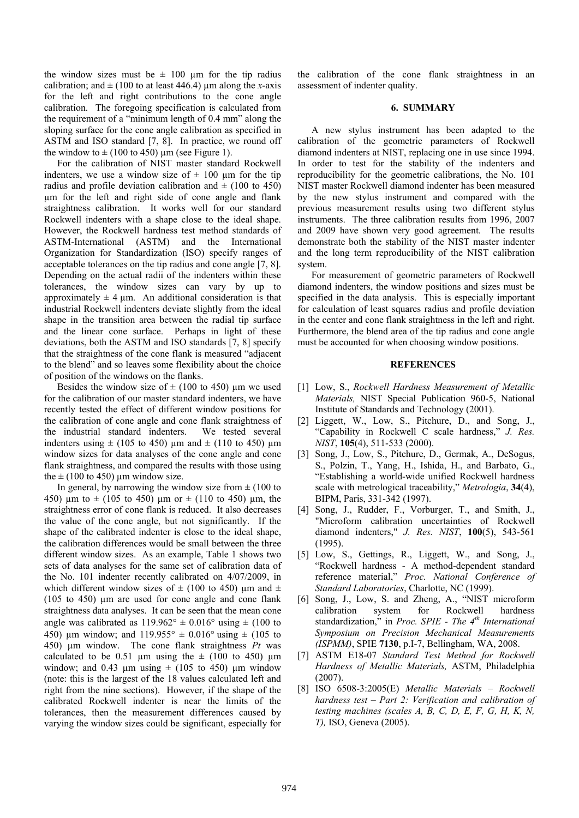the window sizes must be  $\pm$  100 µm for the tip radius calibration; and  $\pm$  (100 to at least 446.4) µm along the *x*-axis for the left and right contributions to the cone angle calibration. The foregoing specification is calculated from the requirement of a "minimum length of 0.4 mm" along the sloping surface for the cone angle calibration as specified in ASTM and ISO standard [7, 8]. In practice, we round off the window to  $\pm$  (100 to 450) µm (see Figure 1).

 For the calibration of NIST master standard Rockwell indenters, we use a window size of  $\pm$  100 µm for the tip radius and profile deviation calibration and  $\pm$  (100 to 450) µm for the left and right side of cone angle and flank straightness calibration. It works well for our standard Rockwell indenters with a shape close to the ideal shape. However, the Rockwell hardness test method standards of ASTM-International (ASTM) and the International Organization for Standardization (ISO) specify ranges of acceptable tolerances on the tip radius and cone angle [7, 8]. Depending on the actual radii of the indenters within these tolerances, the window sizes can vary by up to approximately  $\pm 4$  µm. An additional consideration is that industrial Rockwell indenters deviate slightly from the ideal shape in the transition area between the radial tip surface and the linear cone surface. Perhaps in light of these deviations, both the ASTM and ISO standards [7, 8] specify that the straightness of the cone flank is measured "adjacent to the blend" and so leaves some flexibility about the choice of position of the windows on the flanks.

Besides the window size of  $\pm$  (100 to 450) um we used for the calibration of our master standard indenters, we have recently tested the effect of different window positions for the calibration of cone angle and cone flank straightness of the industrial standard indenters. We tested several indenters using  $\pm$  (105 to 450) µm and  $\pm$  (110 to 450) µm window sizes for data analyses of the cone angle and cone flank straightness, and compared the results with those using the  $\pm$  (100 to 450) µm window size.

In general, by narrowing the window size from  $\pm (100 \text{ to }$ 450) um to  $\pm$  (105 to 450) um or  $\pm$  (110 to 450) um, the straightness error of cone flank is reduced. It also decreases the value of the cone angle, but not significantly. If the shape of the calibrated indenter is close to the ideal shape, the calibration differences would be small between the three different window sizes. As an example, Table 1 shows two sets of data analyses for the same set of calibration data of the No. 101 indenter recently calibrated on 4/07/2009, in which different window sizes of  $\pm$  (100 to 450) µm and  $\pm$ ( $105$  to  $450$ )  $\mu$ m are used for cone angle and cone flank straightness data analyses. It can be seen that the mean cone angle was calibrated as  $119.962^{\circ} \pm 0.016^{\circ}$  using  $\pm (100 \text{ to }$ 450) µm window; and  $119.955^{\circ} \pm 0.016^{\circ}$  using  $\pm (105 \text{ to } 100 \text{ m})$ 450) µm window. The cone flank straightness *Pt* was calculated to be 0.51 µm using the  $\pm$  (100 to 450) µm window; and 0.43  $\mu$ m using  $\pm$  (105 to 450)  $\mu$ m window (note: this is the largest of the 18 values calculated left and right from the nine sections). However, if the shape of the calibrated Rockwell indenter is near the limits of the tolerances, then the measurement differences caused by varying the window sizes could be significant, especially for

the calibration of the cone flank straightness in an assessment of indenter quality.

#### **6. SUMMARY**

A new stylus instrument has been adapted to the calibration of the geometric parameters of Rockwell diamond indenters at NIST, replacing one in use since 1994. In order to test for the stability of the indenters and reproducibility for the geometric calibrations, the No. 101 NIST master Rockwell diamond indenter has been measured by the new stylus instrument and compared with the previous measurement results using two different stylus instruments. The three calibration results from 1996, 2007 and 2009 have shown very good agreement. The results demonstrate both the stability of the NIST master indenter and the long term reproducibility of the NIST calibration system.

For measurement of geometric parameters of Rockwell diamond indenters, the window positions and sizes must be specified in the data analysis. This is especially important for calculation of least squares radius and profile deviation in the center and cone flank straightness in the left and right. Furthermore, the blend area of the tip radius and cone angle must be accounted for when choosing window positions.

#### **REFERENCES**

- [1] Low, S., *Rockwell Hardness Measurement of Metallic Materials,* NIST Special Publication 960-5, National Institute of Standards and Technology (2001).
- [2] Liggett, W., Low, S., Pitchure, D., and Song, J., "Capability in Rockwell C scale hardness," *J. Res. NIST*, **105**(4), 511-533 (2000).
- [3] Song, J., Low, S., Pitchure, D., Germak, A., DeSogus, S., Polzin, T., Yang, H., Ishida, H., and Barbato, G., "Establishing a world-wide unified Rockwell hardness scale with metrological traceability," *Metrologia*, **34**(4), BIPM, Paris, 331-342 (1997).
- [4] Song, J., Rudder, F., Vorburger, T., and Smith, J., "Microform calibration uncertainties of Rockwell diamond indenters," *J. Res. NIST*, **100**(5), 543-561 (1995).
- [5] Low, S., Gettings, R., Liggett, W., and Song, J., "Rockwell hardness - A method-dependent standard reference material," *Proc. National Conference of Standard Laboratories*, Charlotte, NC (1999).
- [6] Song, J., Low, S. and Zheng, A., "NIST microform calibration system for Rockwell hardness standardization," in *Proc. SPIE - The 4th International Symposium on Precision Mechanical Measurements (ISPMM)*, SPIE **7130**, p.I-7, Bellingham, WA, 2008.
- [7] ASTM E18-07 *Standard Test Method for Rockwell Hardness of Metallic Materials,* ASTM, Philadelphia (2007).
- [8] ISO 6508-3:2005(E) *Metallic Materials Rockwell hardness test – Part 2: Verification and calibration of testing machines (scales A, B, C, D, E, F, G, H, K, N, T),* ISO, Geneva (2005).